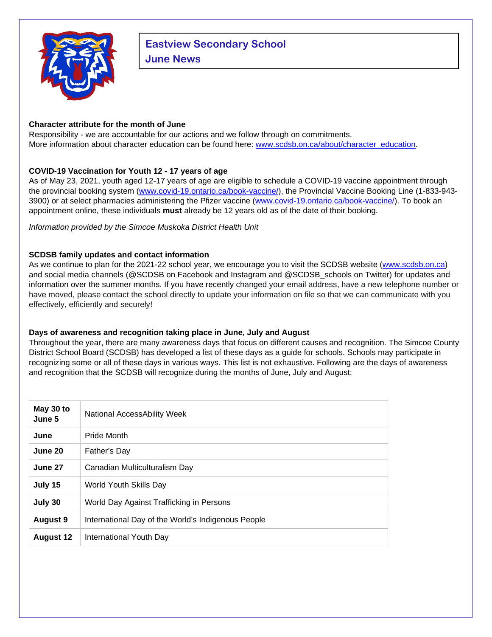

# **Eastview Secondary School June News**

## **Character attribute for the month of June**

Responsibility - we are accountable for our actions and we follow through on commitments. More information about character education can be found here: [www.scdsb.on.ca/about/character\\_education.](http://www.scdsb.on.ca/about/character_education)

# **COVID-19 Vaccination for Youth 12 - 17 years of age**

As of May 23, 2021, youth aged 12-17 years of age are eligible to schedule a COVID-19 vaccine appointment through the provincial booking system [\(www.covid-19.ontario.ca/book-vaccine/\)](http://www.covid-19.ontario.ca/book-vaccine/), the Provincial Vaccine Booking Line (1-833-943- 3900) or at select pharmacies administering the Pfizer vaccine [\(www.covid-19.ontario.ca/book-vaccine/\)](http://www.covid-19.ontario.ca/book-vaccine/). To book an appointment online, these individuals **must** already be 12 years old as of the date of their booking.

*Information provided by the Simcoe Muskoka District Health Unit*

## **SCDSB family updates and contact information**

As we continue to plan for the 2021-22 school year, we encourage you to visit the SCDSB website [\(www.scdsb.on.ca\)](https://www.scdsb.on.ca/) and social media channels (@SCDSB on Facebook and Instagram and @SCDSB\_schools on Twitter) for updates and information over the summer months. If you have recently changed your email address, have a new telephone number or have moved, please contact the school directly to update your information on file so that we can communicate with you effectively, efficiently and securely!

# **Days of awareness and recognition taking place in June, July and August**

Throughout the year, there are many awareness days that focus on different causes and recognition. The Simcoe County District School Board (SCDSB) has developed a list of these days as a guide for schools. Schools may participate in recognizing some or all of these days in various ways. This list is not exhaustive. Following are the days of awareness and recognition that the SCDSB will recognize during the months of June, July and August:

| May 30 to<br>June 5 | National AccessAbility Week                        |
|---------------------|----------------------------------------------------|
| June                | Pride Month                                        |
| June 20             | Father's Day                                       |
| June 27             | Canadian Multiculturalism Day                      |
| July 15             | World Youth Skills Day                             |
| July 30             | World Day Against Trafficking in Persons           |
| <b>August 9</b>     | International Day of the World's Indigenous People |
| <b>August 12</b>    | International Youth Day                            |